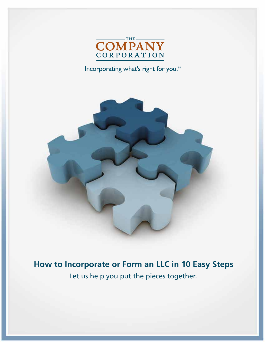

### Incorporating what's right for you.<sup>5M</sup>



**How to Incorporate or Form an LLC in 10 Easy Steps** Let us help you put the pieces together.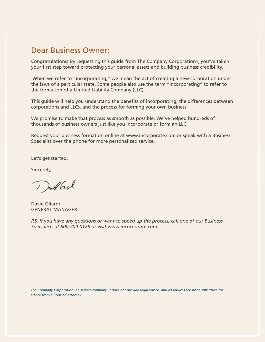## Dear Business Owner:

Congratulations! By requesting this guide from The Company Corporation®, you've taken your first step toward protecting your personal assets and building business credibility.

 When we refer to "incorporating," we mean the act of creating a new corporation under the laws of a particular state. Some people also use the term "incorporating" to refer to the formation of a Limited Liability Company (LLC).

This guide will help you understand the benefits of incorporating, the differences between corporations and LLCs, and the process for forming your own business.

We promise to make that process as smooth as possible. We've helped hundreds of thousands of business owners just like you incorporate or form an LLC.

Request your business formation online at www.incorporate.com or speak with a Business Specialist over the phone for more personalized service.

Let's get started.

Sincerely,

Darlful

David Gilardi GENERAL MANAGER

*P.S. If you have any questions or want to speed up the process, call one of our Business Specialists at 800-209-0128 or visit www.incorporate.com.*

*The Company Corporation is a service company. It does not provide legal advice, and its services are not a substitute for advice from a licensed attorney.*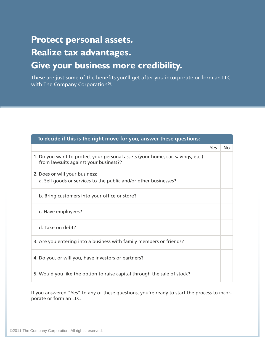# **Protect personal assets. Realize tax advantages. Give your business more credibility.**

These are just some of the benefits you'll get after you incorporate or form an LLC with The Company Corporation<sup>®</sup>.

| To decide if this is the right move for you, answer these questions:                                                    |     |           |  |
|-------------------------------------------------------------------------------------------------------------------------|-----|-----------|--|
|                                                                                                                         | Yes | <b>No</b> |  |
| 1. Do you want to protect your personal assets (your home, car, savings, etc.)<br>from lawsuits against your business?? |     |           |  |
| 2. Does or will your business:<br>a. Sell goods or services to the public and/or other businesses?                      |     |           |  |
| b. Bring customers into your office or store?                                                                           |     |           |  |
| c. Have employees?                                                                                                      |     |           |  |
| d. Take on debt?                                                                                                        |     |           |  |
| 3. Are you entering into a business with family members or friends?                                                     |     |           |  |
| 4. Do you, or will you, have investors or partners?                                                                     |     |           |  |
| 5. Would you like the option to raise capital through the sale of stock?                                                |     |           |  |

If you answered "Yes" to any of these questions, you're ready to start the process to incorporate or form an LLC.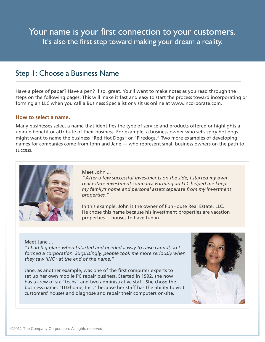Your name is your first connection to your customers. It's also the first step toward making your dream a reality.

### Step 1: Choose a Business Name

Have a piece of paper? Have a pen? If so, great. You'll want to make notes as you read through the steps on the following pages. This will make it fast and easy to start the process toward incorporating or forming an LLC when you call a Business Specialist or visit us online at www.incorporate.com.

#### **How to select a name.**

Many businesses select a name that identifies the type of service and products offered or highlights a unique benefit or attribute of their business. For example, a business owner who sells spicy hot dogs might want to name the business "Red Hot Dogs" or "Firedogs." Two more examples of developing names for companies come from John and Jane — who represent small business owners on the path to success.



Meet John ...

*" After a few successful investments on the side, I started my own real estate investment company. Forming an LLC helped me keep my family's home and personal assets separate from my investment properties."*

In this example, John is the owner of FunHouse Real Estate, LLC. He chose this name because his investment properties are vacation properties ... houses to have fun in.

Meet Jane ...

*" I had big plans when I started and needed a way to raise capital, so I formed a corporation. Surprisingly, people took me more seriously when they saw 'INC.' at the end of the name."*

Jane, as another example, was one of the first computer experts to set up her own mobile PC repair business. Started in 1992, she now has a crew of six "techs" and two administrative staff. She chose the business name, "IT@home, Inc.," because her staff has the ability to visit customers' houses and diagnose and repair their computers on-site.

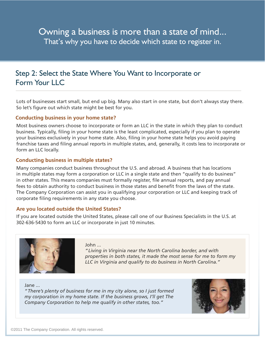## Step 2: Select the State Where You Want to Incorporate or Form Your LLC

Lots of businesses start small, but end up big. Many also start in one state, but don't always stay there. So let's figure out which state might be best for you.

#### **Conducting business in your home state?**

Most business owners choose to incorporate or form an LLC in the state in which they plan to conduct business. Typically, filing in your home state is the least complicated, especially if you plan to operate your business exclusively in your home state. Also, filing in your home state helps you avoid paying franchise taxes and filing annual reports in multiple states, and, generally, it costs less to incorporate or form an LLC locally.

#### **Conducting business in multiple states?**

Many companies conduct business throughout the U.S. and abroad. A business that has locations in multiple states may form a corporation or LLC in a single state and then "qualify to do business" in other states. This means companies must formally register, file annual reports, and pay annual fees to obtain authority to conduct business in those states and benefit from the laws of the state. The Company Corporation can assist you in qualifying your corporation or LLC and keeping track of corporate filing requirements in any state you choose.

#### **Are you located outside the United States?**

If you are located outside the United States, please call one of our Business Specialists in the U.S. at 302-636-5430 to form an LLC or incorporate in just 10 minutes.



John ...

*"Living in Virginia near the North Carolina border, and with properties in both states, it made the most sense for me to form my LLC in Virginia and qualify to do business in North Carolina."*

Jane ...

*"There's plenty of business for me in my city alone, so I just formed my corporation in my home state. If the business grows, I'll get The Company Corporation to help me qualify in other states, too."*

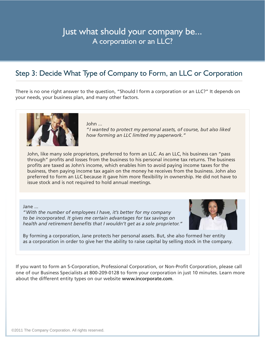## Just what should your company be... A corporation or an LLC?

## Step 3: Decide What Type of Company to Form, an LLC or Corporation

There is no one right answer to the question, "Should I form a corporation or an LLC?" It depends on your needs, your business plan, and many other factors.



John ...

*"I wanted to protect my personal assets, of course, but also liked how forming an LLC limited my paperwork."*

John, like many sole proprietors, preferred to form an LLC. As an LLC, his business can "pass through" profits and losses from the business to his personal income tax returns. The business profits are taxed as John's income, which enables him to avoid paying income taxes for the business, then paying income tax again on the money he receives from the business. John also preferred to form an LLC because it gave him more flexibility in ownership. He did not have to issue stock and is not required to hold annual meetings.

Jane ...

*"With the number of employees I have, it's better for my company to be incorporated. It gives me certain advantages for tax savings on health and retirement benefits that I wouldn't get as a sole proprietor."*



By forming a corporation, Jane protects her personal assets. But, she also formed her entity as a corporation in order to give her the ability to raise capital by selling stock in the company.

If you want to form an S-Corporation, Professional Corporation, or Non-Profit Corporation, please call one of our Business Specialists at 800-209-0128 to form your corporation in just 10 minutes. Learn more about the different entity types on our website **www.incorporate.com**.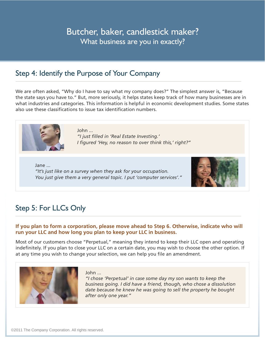## Butcher, baker, candlestick maker? What business are you in exactly?

### Step 4: Identify the Purpose of Your Company

We are often asked, "Why do I have to say what my company does?" The simplest answer is, "Because the state says you have to." But, more seriously, it helps states keep track of how many businesses are in what industries and categories. This information is helpful in economic development studies. Some states also use these classifications to issue tax identification numbers.



*You just give them a very general topic. I put 'computer services'."*

## Step 5: For LLCs Only

#### **If you plan to form a corporation, please move ahead to Step 6. Otherwise, indicate who will run your LLC and how long you plan to keep your LLC in business.**

Most of our customers choose "Perpetual," meaning they intend to keep their LLC open and operating indefinitely. If you plan to close your LLC on a certain date, you may wish to choose the other option. If at any time you wish to change your selection, we can help you file an amendment.



John ...

*"I chose 'Perpetual' in case some day my son wants to keep the business going. I did have a friend, though, who chose a dissolution date because he knew he was going to sell the property he bought after only one year."*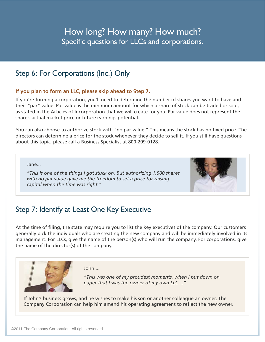## How long? How many? How much? Specific questions for LLCs and corporations.

### Step 6: For Corporations (Inc.) Only

### **If you plan to form an LLC, please skip ahead to Step 7.**

If you're forming a corporation, you'll need to determine the number of shares you want to have and their "par" value. Par value is the minimum amount for which a share of stock can be traded or sold, as stated in the Articles of Incorporation that we will create for you. Par value does not represent the share's actual market price or future earnings potential.

You can also choose to authorize stock with "no par value." This means the stock has no fixed price. The directors can determine a price for the stock whenever they decide to sell it. If you still have questions about this topic, please call a Business Specialist at 800-209-0128.

Jane...

*"This is one of the things I got stuck on. But authorizing 1,500 shares with no par value gave me the freedom to set a price for raising capital when the time was right."*



## Step 7: Identify at Least One Key Executive

At the time of filing, the state may require you to list the key executives of the company. Our customers generally pick the individuals who are creating the new company and will be immediately involved in its management. For LLCs, give the name of the person(s) who will run the company. For corporations, give the name of the director(s) of the company.



John ...

*"This was one of my proudest moments, when I put down on paper that I was the owner of my own LLC ..."*

If John's business grows, and he wishes to make his son or another colleague an owner, The Company Corporation can help him amend his operating agreement to reflect the new owner.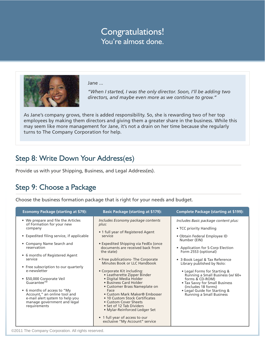## Congratulations! You're almost done.



Jane ...

*"When I started, I was the only director. Soon, I'll be adding two directors, and maybe even more as we continue to grow."*

As Jane's company grows, there is added responsibility. So, she is rewarding two of her top employees by making them directors and giving them a greater share in the business. While this may seem like more management for Jane, it's not a drain on her time because she regularly turns to The Company Corporation for help.

## Step 8: Write Down Your Address(es)

Provide us with your Shipping, Business, and Legal Address(es).

## Step 9: Choose a Package

Choose the business formation package that is right for your needs and budget.

| <b>Economy Package (starting at \$79):</b>                                                                                                                                                                                                                                                                                                                                                                                                                           | <b>Basic Package (starting at \$179):</b>                                                                                                                                                                                                                                                                                                                                                                                                                                                                                                                                                                                                         | <b>Complete Package (starting at \$199):</b>                                                                                                                                                                                                                                                                                                                                                                                                             |
|----------------------------------------------------------------------------------------------------------------------------------------------------------------------------------------------------------------------------------------------------------------------------------------------------------------------------------------------------------------------------------------------------------------------------------------------------------------------|---------------------------------------------------------------------------------------------------------------------------------------------------------------------------------------------------------------------------------------------------------------------------------------------------------------------------------------------------------------------------------------------------------------------------------------------------------------------------------------------------------------------------------------------------------------------------------------------------------------------------------------------------|----------------------------------------------------------------------------------------------------------------------------------------------------------------------------------------------------------------------------------------------------------------------------------------------------------------------------------------------------------------------------------------------------------------------------------------------------------|
| • We prepare and file the Articles<br>of Formation for your new<br>company<br>• Expedited filing service, if applicable<br>• Company Name Search and<br>reservation<br>• 6 months of Registered Agent<br>service<br>• Free subscription to our quarterly<br>e-newsletter<br>• \$50,000 Corporate Veil<br>Guarantee™<br>• 6 months of access to "My<br>Account," an online tool and<br>e-mail alert system to help you<br>manage government and legal<br>requirements | Includes Economy package contents<br>plus:<br>• 1 full year of Registered Agent<br>service<br>• Expedited Shipping via FedEx (once<br>documents are received back from<br>the state)<br>• Free publications- The Corporate<br>Minutes Book or LLC Handbook<br>• Corporate Kit including:<br>• Leatherette Zipper Binder<br>• Digital Media Holder<br>• Business Card Holder<br>• Customer Brass Nameplate on<br>Face<br>• Custom Mark Maker® Embosser<br>• 10 Custom Stock Certificates<br>• Custom Cover Sheets<br>• Set of 12 Tab Dividers<br>• Mylar-Reinforced Ledger Set<br>• 1 full year of access to our<br>exclusive "My Account" service | Includes Basic package content plus:<br>• TCC priority Handling<br>• Obtain Federal Employee ID<br>Number (EIN)<br>• Application for S-Corp Election<br>Form 2553 (optional)<br>• 3-Book Legal & Tax Reference<br>Library published by Nolo:<br>• Legal Forms for Starting &<br>Running a Small Business (w/ 60+<br>forms & CD-ROM)<br>• Tax Savvy for Small Business<br>(includes 18 forms)<br>• Legal Guide for Starting &<br>Running a Small Business |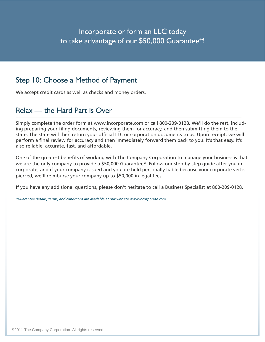### Step 10: Choose a Method of Payment

We accept credit cards as well as checks and money orders.

### Relax — the Hard Part is Over

Simply complete the order form at www.incorporate.com or call 800-209-0128. We'll do the rest, including preparing your filing documents, reviewing them for accuracy, and then submitting them to the state. The state will then return your official LLC or corporation documents to us. Upon receipt, we will perform a final review for accuracy and then immediately forward them back to you. It's that easy. It's also reliable, accurate, fast, and affordable.

One of the greatest benefits of working with The Company Corporation to manage your business is that we are the only company to provide a \$50,000 Guarantee\*. Follow our step-by-step guide after you incorporate, and if your company is sued and you are held personally liable because your corporate veil is pierced, we'll reimburse your company up to \$50,000 in legal fees.

If you have any additional questions, please don't hesitate to call a Business Specialist at 800-209-0128.

*\*Guarantee details, terms, and conditions are available at our website www.incorporate.com.*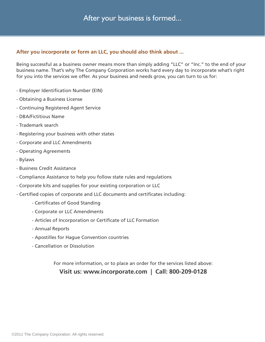#### **After you incorporate or form an LLC, you should also think about ...**

Being successful as a business owner means more than simply adding "LLC" or "Inc." to the end of your business name. That's why The Company Corporation works hard every day to incorporate what's right for you into the services we offer. As your business and needs grow, you can turn to us for:

- Employer Identification Number (EIN)
- Obtaining a Business License
- Continuing Registered Agent Service
- DBA/Fictitious Name
- Trademark search
- Registering your business with other states
- Corporate and LLC Amendments
- Operating Agreements
- Bylaws
- Business Credit Assistance
- Compliance Assistance to help you follow state rules and regulations
- Corporate kits and supplies for your existing corporation or LLC
- Certified copies of corporate and LLC documents and certificates including:
	- Certificates of Good Standing
	- Corporate or LLC Amendments
	- Articles of Incorporation or Certificate of LLC Formation
	- Annual Reports
	- Apostilles for Hague Convention countries
	- Cancellation or Dissolution

For more information, or to place an order for the services listed above: **Visit us: www.incorporate.com | Call: 800-209-0128**